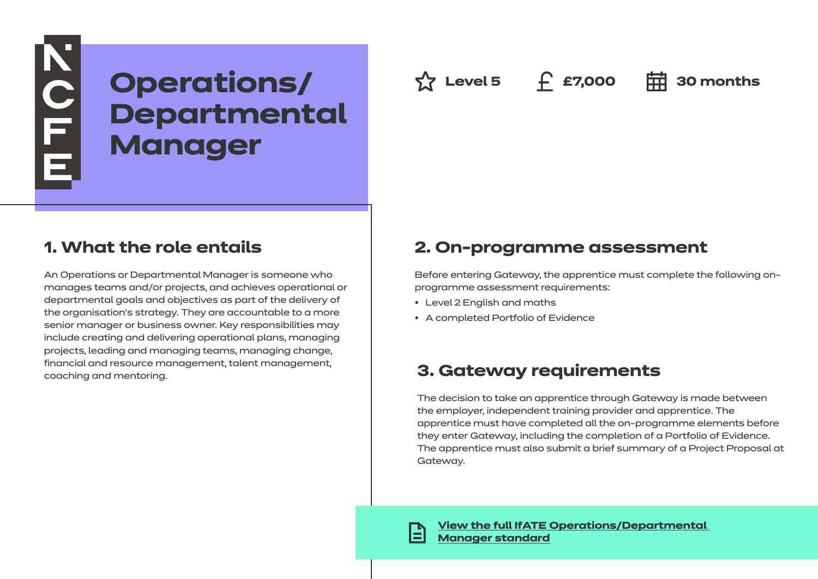# NOLLE<sub>L</sub> **Operations/** ☆ Level 5 £ £7,000 宙 30 months **Departmental Manager**

## **1. What the role entails**

An Operations or Departmental Manager is someone who manages teams and/or projects, and achieves operational or departmental goals and objectives as part of the delivery of the organisation's strategy. They are accountable to a more senior manager or business owner. Key responsibilities may include creating and delivering operational plans, managing projects, leading and managing teams, managing change, financial and resource management, talent management, coaching and mentoring.

## **2. On-programme assessment**

Before entering Gateway, the apprentice must complete the following onprogramme assessment requirements:

- Level 2 English and maths
- A completed Portfolio of Evidence

## **3. Gateway requirements**

The decision to take an apprentice through Gateway is made between the employer, independent training provider and apprentice. The apprentice must have completed all the on-programme elements before they enter Gateway, including the completion of a Portfolio of Evidence. The apprentice must also submit a brief summary of a Project Proposal at Gateway.

**[View the full IfATE Operations/Departmental](https://www.instituteforapprenticeships.org/apprenticeship-standards/healthcare-assistant-practitioner/)  [Manager standard](https://www.instituteforapprenticeships.org/apprenticeship-standards/operations-departmental-manager/)**